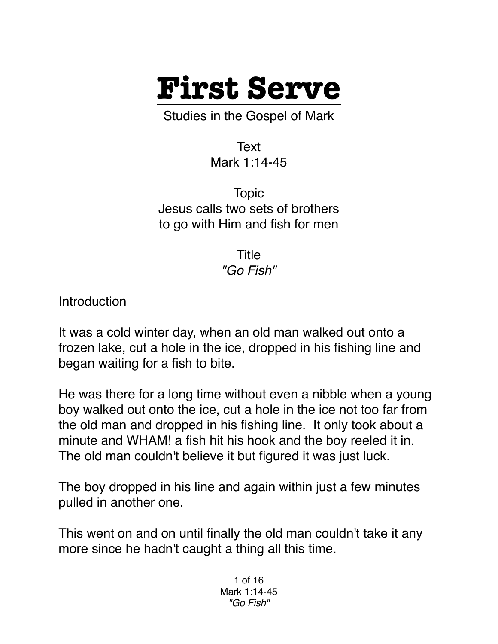

Studies in the Gospel of Mark

Text Mark 1:14-45

Topic Jesus calls two sets of brothers to go with Him and fish for men

> Title *"Go Fish"*

**Introduction** 

It was a cold winter day, when an old man walked out onto a frozen lake, cut a hole in the ice, dropped in his fishing line and began waiting for a fish to bite.

He was there for a long time without even a nibble when a young boy walked out onto the ice, cut a hole in the ice not too far from the old man and dropped in his fishing line. It only took about a minute and WHAM! a fish hit his hook and the boy reeled it in. The old man couldn't believe it but figured it was just luck.

The boy dropped in his line and again within just a few minutes pulled in another one.

This went on and on until finally the old man couldn't take it any more since he hadn't caught a thing all this time.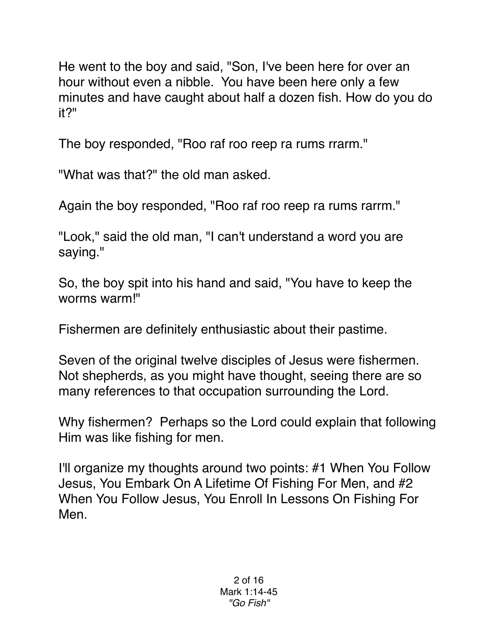He went to the boy and said, "Son, I've been here for over an hour without even a nibble. You have been here only a few minutes and have caught about half a dozen fish. How do you do it?"

The boy responded, "Roo raf roo reep ra rums rrarm."

"What was that?" the old man asked.

Again the boy responded, "Roo raf roo reep ra rums rarrm."

"Look," said the old man, "I can't understand a word you are saying."

So, the boy spit into his hand and said, "You have to keep the worms warm!"

Fishermen are definitely enthusiastic about their pastime.

Seven of the original twelve disciples of Jesus were fishermen. Not shepherds, as you might have thought, seeing there are so many references to that occupation surrounding the Lord.

Why fishermen? Perhaps so the Lord could explain that following Him was like fishing for men.

I'll organize my thoughts around two points: #1 When You Follow Jesus, You Embark On A Lifetime Of Fishing For Men, and #2 When You Follow Jesus, You Enroll In Lessons On Fishing For Men.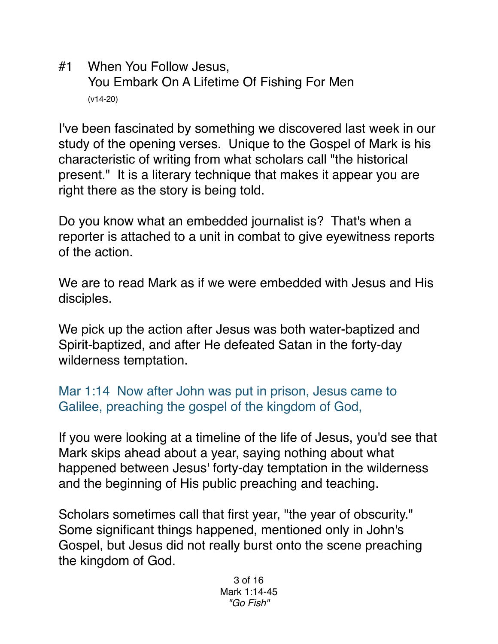#1 When You Follow Jesus, You Embark On A Lifetime Of Fishing For Men (v14-20)

I've been fascinated by something we discovered last week in our study of the opening verses. Unique to the Gospel of Mark is his characteristic of writing from what scholars call "the historical present." It is a literary technique that makes it appear you are right there as the story is being told.

Do you know what an embedded journalist is? That's when a reporter is attached to a unit in combat to give eyewitness reports of the action.

We are to read Mark as if we were embedded with Jesus and His disciples.

We pick up the action after Jesus was both water-baptized and Spirit-baptized, and after He defeated Satan in the forty-day wilderness temptation.

Mar 1:14 Now after John was put in prison, Jesus came to Galilee, preaching the gospel of the kingdom of God,

If you were looking at a timeline of the life of Jesus, you'd see that Mark skips ahead about a year, saying nothing about what happened between Jesus' forty-day temptation in the wilderness and the beginning of His public preaching and teaching.

Scholars sometimes call that first year, "the year of obscurity." Some significant things happened, mentioned only in John's Gospel, but Jesus did not really burst onto the scene preaching the kingdom of God.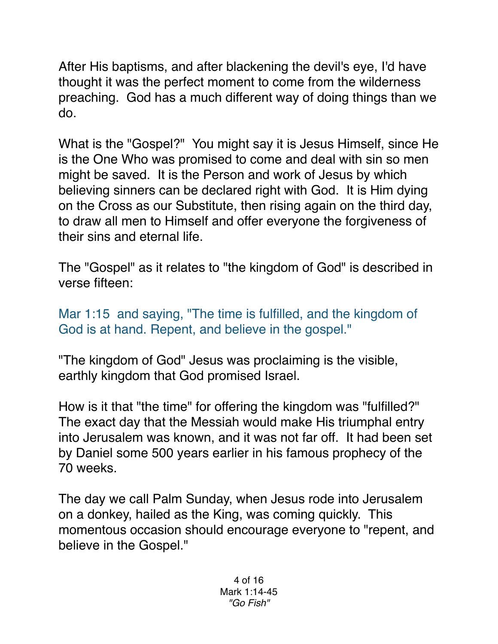After His baptisms, and after blackening the devil's eye, I'd have thought it was the perfect moment to come from the wilderness preaching. God has a much different way of doing things than we do.

What is the "Gospel?" You might say it is Jesus Himself, since He is the One Who was promised to come and deal with sin so men might be saved. It is the Person and work of Jesus by which believing sinners can be declared right with God. It is Him dying on the Cross as our Substitute, then rising again on the third day, to draw all men to Himself and offer everyone the forgiveness of their sins and eternal life.

The "Gospel" as it relates to "the kingdom of God" is described in verse fifteen:

Mar 1:15 and saying, "The time is fulfilled, and the kingdom of God is at hand. Repent, and believe in the gospel."

"The kingdom of God" Jesus was proclaiming is the visible, earthly kingdom that God promised Israel.

How is it that "the time" for offering the kingdom was "fulfilled?" The exact day that the Messiah would make His triumphal entry into Jerusalem was known, and it was not far off. It had been set by Daniel some 500 years earlier in his famous prophecy of the 70 weeks.

The day we call Palm Sunday, when Jesus rode into Jerusalem on a donkey, hailed as the King, was coming quickly. This momentous occasion should encourage everyone to "repent, and believe in the Gospel."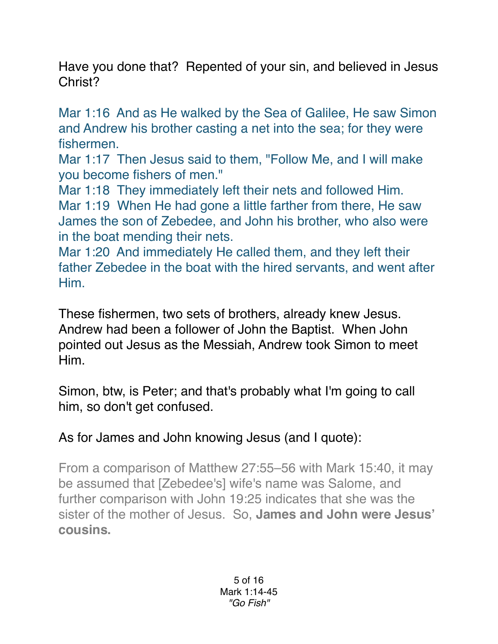Have you done that? Repented of your sin, and believed in Jesus Christ?

Mar 1:16 And as He walked by the Sea of Galilee, He saw Simon and Andrew his brother casting a net into the sea; for they were fishermen.

Mar 1:17 Then Jesus said to them, "Follow Me, and I will make you become fishers of men."

Mar 1:18 They immediately left their nets and followed Him. Mar 1:19 When He had gone a little farther from there, He saw James the son of Zebedee, and John his brother, who also were in the boat mending their nets.

Mar 1:20 And immediately He called them, and they left their father Zebedee in the boat with the hired servants, and went after Him.

These fishermen, two sets of brothers, already knew Jesus. Andrew had been a follower of John the Baptist. When John pointed out Jesus as the Messiah, Andrew took Simon to meet Him.

Simon, btw, is Peter; and that's probably what I'm going to call him, so don't get confused.

As for James and John knowing Jesus (and I quote):

From a comparison of Matthew 27:55–56 with Mark 15:40, it may be assumed that [Zebedee's] wife's name was Salome, and further comparison with John 19:25 indicates that she was the sister of the mother of Jesus. So, **James and John were Jesus' cousins.**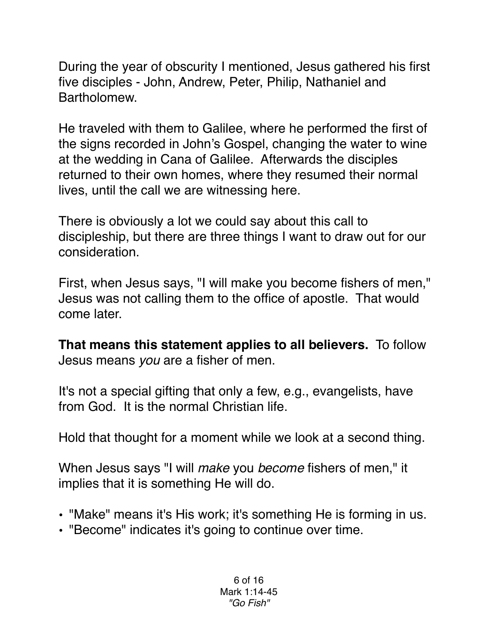During the year of obscurity I mentioned, Jesus gathered his first five disciples - John, Andrew, Peter, Philip, Nathaniel and Bartholomew.

He traveled with them to Galilee, where he performed the first of the signs recorded in John's Gospel, changing the water to wine at the wedding in Cana of Galilee. Afterwards the disciples returned to their own homes, where they resumed their normal lives, until the call we are witnessing here.

There is obviously a lot we could say about this call to discipleship, but there are three things I want to draw out for our consideration.

First, when Jesus says, "I will make you become fishers of men," Jesus was not calling them to the office of apostle. That would come later.

**That means this statement applies to all believers.** To follow Jesus means *you* are a fisher of men.

It's not a special gifting that only a few, e.g., evangelists, have from God. It is the normal Christian life.

Hold that thought for a moment while we look at a second thing.

When Jesus says "I will *make* you *become* fishers of men," it implies that it is something He will do.

- "Make" means it's His work; it's something He is forming in us.
- "Become" indicates it's going to continue over time.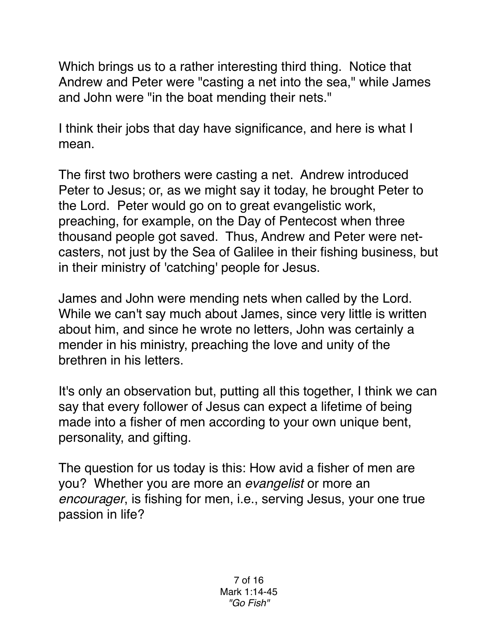Which brings us to a rather interesting third thing. Notice that Andrew and Peter were "casting a net into the sea," while James and John were "in the boat mending their nets."

I think their jobs that day have significance, and here is what I mean.

The first two brothers were casting a net. Andrew introduced Peter to Jesus; or, as we might say it today, he brought Peter to the Lord. Peter would go on to great evangelistic work, preaching, for example, on the Day of Pentecost when three thousand people got saved. Thus, Andrew and Peter were netcasters, not just by the Sea of Galilee in their fishing business, but in their ministry of 'catching' people for Jesus.

James and John were mending nets when called by the Lord. While we can't say much about James, since very little is written about him, and since he wrote no letters, John was certainly a mender in his ministry, preaching the love and unity of the brethren in his letters.

It's only an observation but, putting all this together, I think we can say that every follower of Jesus can expect a lifetime of being made into a fisher of men according to your own unique bent, personality, and gifting.

The question for us today is this: How avid a fisher of men are you? Whether you are more an *evangelist* or more an *encourager*, is fishing for men, i.e., serving Jesus, your one true passion in life?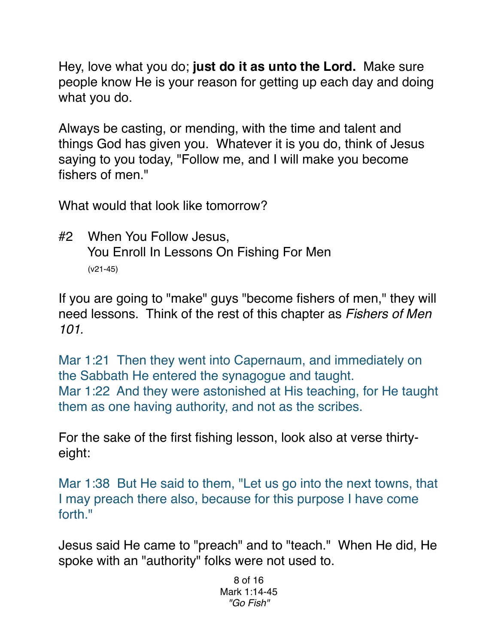Hey, love what you do; **just do it as unto the Lord.** Make sure people know He is your reason for getting up each day and doing what you do.

Always be casting, or mending, with the time and talent and things God has given you. Whatever it is you do, think of Jesus saying to you today, "Follow me, and I will make you become fishers of men."

What would that look like tomorrow?

#2 When You Follow Jesus, You Enroll In Lessons On Fishing For Men (v21-45)

If you are going to "make" guys "become fishers of men," they will need lessons. Think of the rest of this chapter as *Fishers of Men 101.*

Mar 1:21 Then they went into Capernaum, and immediately on the Sabbath He entered the synagogue and taught. Mar 1:22 And they were astonished at His teaching, for He taught them as one having authority, and not as the scribes.

For the sake of the first fishing lesson, look also at verse thirtyeight:

Mar 1:38 But He said to them, "Let us go into the next towns, that I may preach there also, because for this purpose I have come forth."

Jesus said He came to "preach" and to "teach." When He did, He spoke with an "authority" folks were not used to.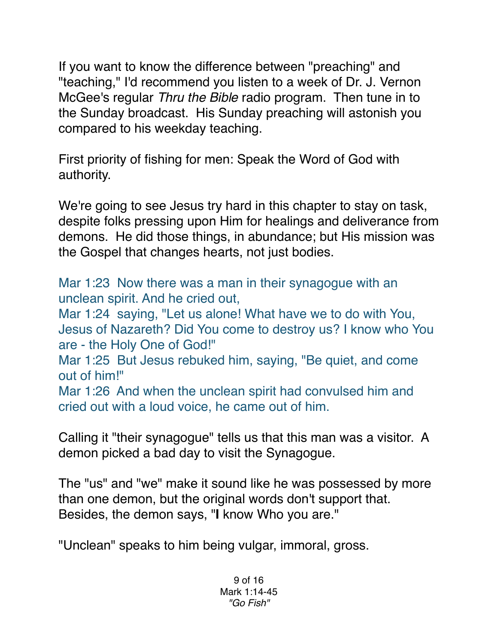If you want to know the difference between "preaching" and "teaching," I'd recommend you listen to a week of Dr. J. Vernon McGee's regular *Thru the Bible* radio program. Then tune in to the Sunday broadcast. His Sunday preaching will astonish you compared to his weekday teaching.

First priority of fishing for men: Speak the Word of God with authority.

We're going to see Jesus try hard in this chapter to stay on task, despite folks pressing upon Him for healings and deliverance from demons. He did those things, in abundance; but His mission was the Gospel that changes hearts, not just bodies.

Mar 1:23 Now there was a man in their synagogue with an unclean spirit. And he cried out,

Mar 1:24 saying, "Let us alone! What have we to do with You, Jesus of Nazareth? Did You come to destroy us? I know who You are - the Holy One of God!"

Mar 1:25 But Jesus rebuked him, saying, "Be quiet, and come out of him!"

Mar 1:26 And when the unclean spirit had convulsed him and cried out with a loud voice, he came out of him.

Calling it "their synagogue" tells us that this man was a visitor. A demon picked a bad day to visit the Synagogue.

The "us" and "we" make it sound like he was possessed by more than one demon, but the original words don't support that. Besides, the demon says, "**I** know Who you are."

"Unclean" speaks to him being vulgar, immoral, gross.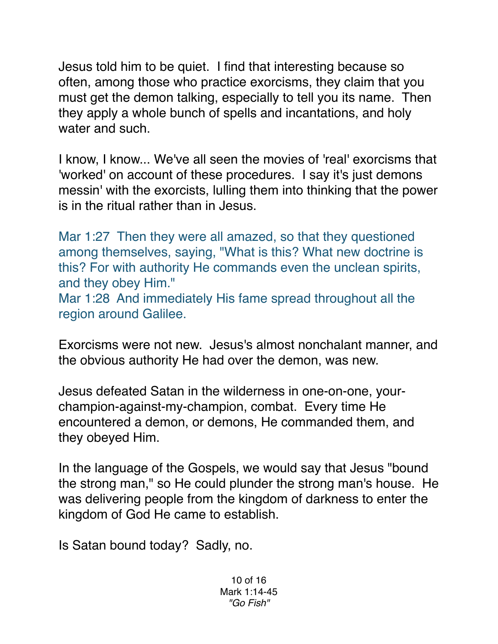Jesus told him to be quiet. I find that interesting because so often, among those who practice exorcisms, they claim that you must get the demon talking, especially to tell you its name. Then they apply a whole bunch of spells and incantations, and holy water and such.

I know, I know... We've all seen the movies of 'real' exorcisms that 'worked' on account of these procedures. I say it's just demons messin' with the exorcists, lulling them into thinking that the power is in the ritual rather than in Jesus.

Mar 1:27 Then they were all amazed, so that they questioned among themselves, saying, "What is this? What new doctrine is this? For with authority He commands even the unclean spirits, and they obey Him."

Mar 1:28 And immediately His fame spread throughout all the region around Galilee.

Exorcisms were not new. Jesus's almost nonchalant manner, and the obvious authority He had over the demon, was new.

Jesus defeated Satan in the wilderness in one-on-one, yourchampion-against-my-champion, combat. Every time He encountered a demon, or demons, He commanded them, and they obeyed Him.

In the language of the Gospels, we would say that Jesus "bound the strong man," so He could plunder the strong man's house. He was delivering people from the kingdom of darkness to enter the kingdom of God He came to establish.

Is Satan bound today? Sadly, no.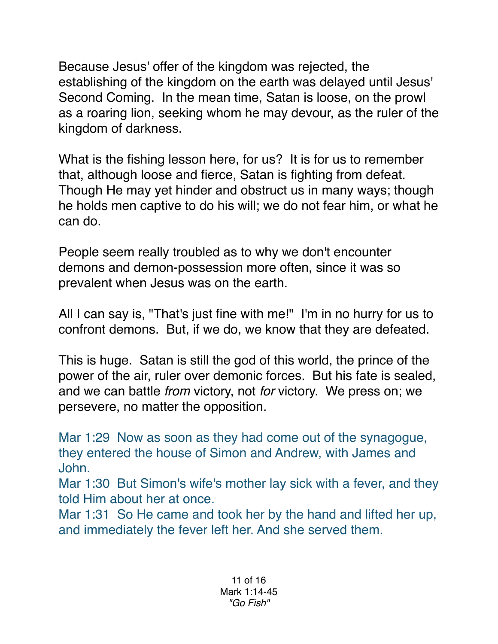Because Jesus' offer of the kingdom was rejected, the establishing of the kingdom on the earth was delayed until Jesus' Second Coming. In the mean time, Satan is loose, on the prowl as a roaring lion, seeking whom he may devour, as the ruler of the kingdom of darkness.

What is the fishing lesson here, for us? It is for us to remember that, although loose and fierce, Satan is fighting from defeat. Though He may yet hinder and obstruct us in many ways; though he holds men captive to do his will; we do not fear him, or what he can do.

People seem really troubled as to why we don't encounter demons and demon-possession more often, since it was so prevalent when Jesus was on the earth.

All I can say is, "That's just fine with me!" I'm in no hurry for us to confront demons. But, if we do, we know that they are defeated.

This is huge. Satan is still the god of this world, the prince of the power of the air, ruler over demonic forces. But his fate is sealed, and we can battle *from* victory, not *for* victory. We press on; we persevere, no matter the opposition.

Mar 1:29 Now as soon as they had come out of the synagogue, they entered the house of Simon and Andrew, with James and John.

Mar 1:30 But Simon's wife's mother lay sick with a fever, and they told Him about her at once.

Mar 1:31 So He came and took her by the hand and lifted her up, and immediately the fever left her. And she served them.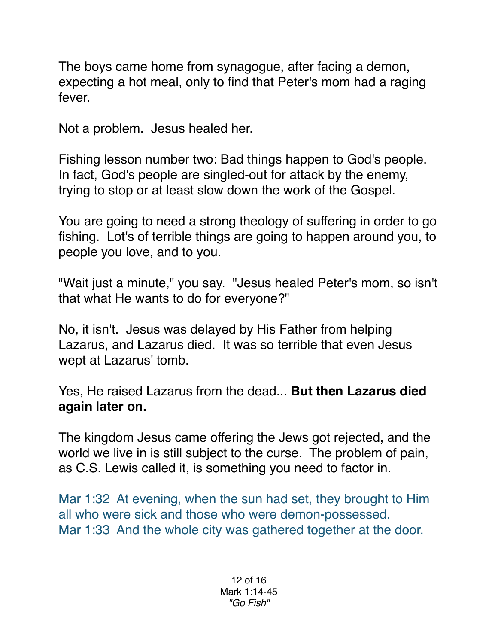The boys came home from synagogue, after facing a demon, expecting a hot meal, only to find that Peter's mom had a raging fever.

Not a problem. Jesus healed her.

Fishing lesson number two: Bad things happen to God's people. In fact, God's people are singled-out for attack by the enemy, trying to stop or at least slow down the work of the Gospel.

You are going to need a strong theology of suffering in order to go fishing. Lot's of terrible things are going to happen around you, to people you love, and to you.

"Wait just a minute," you say. "Jesus healed Peter's mom, so isn't that what He wants to do for everyone?"

No, it isn't. Jesus was delayed by His Father from helping Lazarus, and Lazarus died. It was so terrible that even Jesus wept at Lazarus' tomb.

Yes, He raised Lazarus from the dead... **But then Lazarus died again later on.**

The kingdom Jesus came offering the Jews got rejected, and the world we live in is still subject to the curse. The problem of pain, as C.S. Lewis called it, is something you need to factor in.

Mar 1:32 At evening, when the sun had set, they brought to Him all who were sick and those who were demon-possessed. Mar 1:33 And the whole city was gathered together at the door.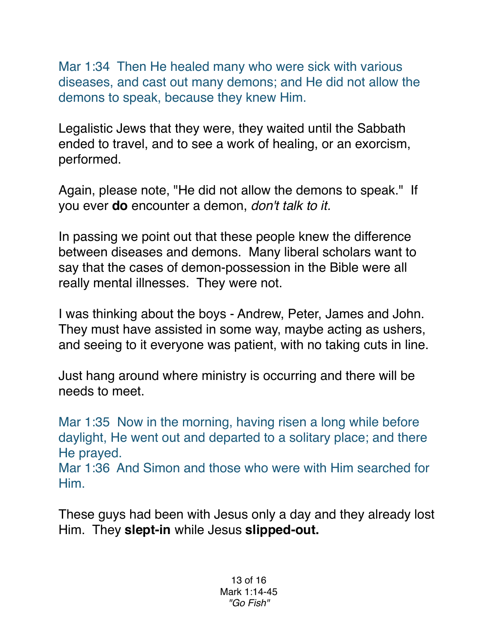Mar 1:34 Then He healed many who were sick with various diseases, and cast out many demons; and He did not allow the demons to speak, because they knew Him.

Legalistic Jews that they were, they waited until the Sabbath ended to travel, and to see a work of healing, or an exorcism, performed.

Again, please note, "He did not allow the demons to speak." If you ever **do** encounter a demon, *don't talk to it.*

In passing we point out that these people knew the difference between diseases and demons. Many liberal scholars want to say that the cases of demon-possession in the Bible were all really mental illnesses. They were not.

I was thinking about the boys - Andrew, Peter, James and John. They must have assisted in some way, maybe acting as ushers, and seeing to it everyone was patient, with no taking cuts in line.

Just hang around where ministry is occurring and there will be needs to meet.

Mar 1:35 Now in the morning, having risen a long while before daylight, He went out and departed to a solitary place; and there He prayed.

Mar 1:36 And Simon and those who were with Him searched for Him.

These guys had been with Jesus only a day and they already lost Him. They **slept-in** while Jesus **slipped-out.**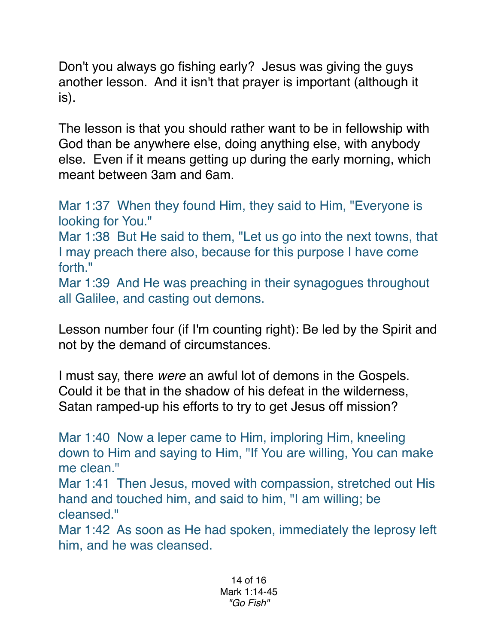Don't you always go fishing early? Jesus was giving the guys another lesson. And it isn't that prayer is important (although it is).

The lesson is that you should rather want to be in fellowship with God than be anywhere else, doing anything else, with anybody else. Even if it means getting up during the early morning, which meant between 3am and 6am.

Mar 1:37 When they found Him, they said to Him, "Everyone is looking for You."

Mar 1:38 But He said to them, "Let us go into the next towns, that I may preach there also, because for this purpose I have come forth."

Mar 1:39 And He was preaching in their synagogues throughout all Galilee, and casting out demons.

Lesson number four (if I'm counting right): Be led by the Spirit and not by the demand of circumstances.

I must say, there *were* an awful lot of demons in the Gospels. Could it be that in the shadow of his defeat in the wilderness, Satan ramped-up his efforts to try to get Jesus off mission?

Mar 1:40 Now a leper came to Him, imploring Him, kneeling down to Him and saying to Him, "If You are willing, You can make me clean."

Mar 1:41 Then Jesus, moved with compassion, stretched out His hand and touched him, and said to him, "I am willing; be cleansed."

Mar 1:42 As soon as He had spoken, immediately the leprosy left him, and he was cleansed.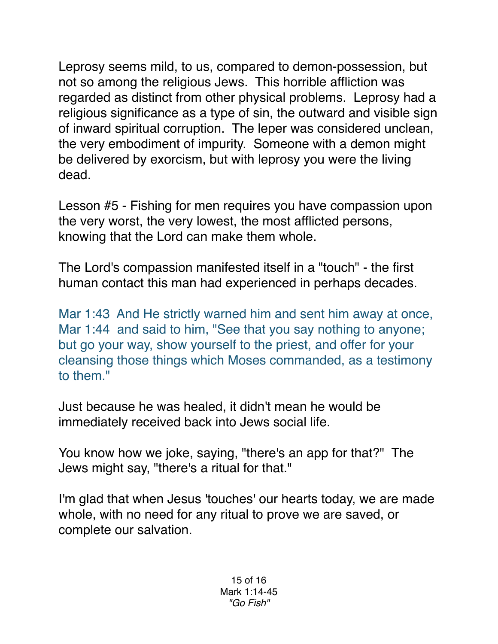Leprosy seems mild, to us, compared to demon-possession, but not so among the religious Jews. This horrible affliction was regarded as distinct from other physical problems. Leprosy had a religious significance as a type of sin, the outward and visible sign of inward spiritual corruption. The leper was considered unclean, the very embodiment of impurity. Someone with a demon might be delivered by exorcism, but with leprosy you were the living dead.

Lesson #5 - Fishing for men requires you have compassion upon the very worst, the very lowest, the most afflicted persons, knowing that the Lord can make them whole.

The Lord's compassion manifested itself in a "touch" - the first human contact this man had experienced in perhaps decades.

Mar 1:43 And He strictly warned him and sent him away at once, Mar 1:44 and said to him, "See that you say nothing to anyone; but go your way, show yourself to the priest, and offer for your cleansing those things which Moses commanded, as a testimony to them."

Just because he was healed, it didn't mean he would be immediately received back into Jews social life.

You know how we joke, saying, "there's an app for that?" The Jews might say, "there's a ritual for that."

I'm glad that when Jesus 'touches' our hearts today, we are made whole, with no need for any ritual to prove we are saved, or complete our salvation.